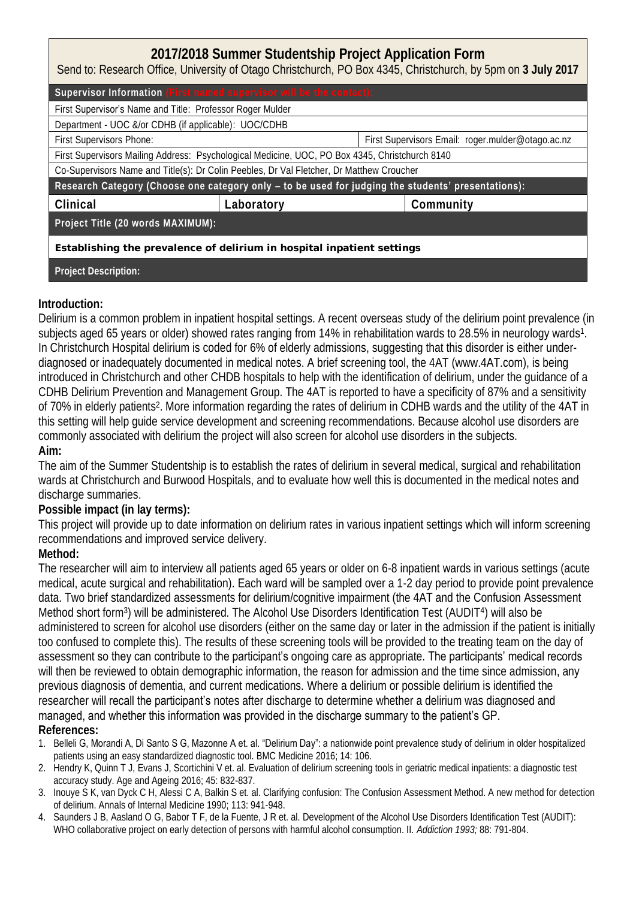## **2017/2018 Summer Studentship Project Application Form**

Send to: Research Office, University of Otago Christchurch, PO Box 4345, Christchurch, by 5pm on **3 July 2017**

| Supervisor Information (First named supervisor will be the contact):                               |            |                                                   |  |
|----------------------------------------------------------------------------------------------------|------------|---------------------------------------------------|--|
| First Supervisor's Name and Title: Professor Roger Mulder                                          |            |                                                   |  |
| Department - UOC &/or CDHB (if applicable): UOC/CDHB                                               |            |                                                   |  |
| First Supervisors Phone:                                                                           |            | First Supervisors Email: roger.mulder@otago.ac.nz |  |
| First Supervisors Mailing Address: Psychological Medicine, UOC, PO Box 4345, Christchurch 8140     |            |                                                   |  |
| Co-Supervisors Name and Title(s): Dr Colin Peebles, Dr Val Fletcher, Dr Matthew Croucher           |            |                                                   |  |
| Research Category (Choose one category only - to be used for judging the students' presentations): |            |                                                   |  |
| Clinical                                                                                           | Laboratory | Community                                         |  |
| Project Title (20 words MAXIMUM):                                                                  |            |                                                   |  |
| Establishing the prevalence of delirium in hospital inpatient settings                             |            |                                                   |  |
| Project Description:                                                                               |            |                                                   |  |

**Introduction:**

Delirium is a common problem in inpatient hospital settings. A recent overseas study of the delirium point prevalence (in subjects aged 65 years or older) showed rates ranging from 14% in rehabilitation wards to 28.5% in neurology wards<sup>1</sup>. In Christchurch Hospital delirium is coded for 6% of elderly admissions, suggesting that this disorder is either underdiagnosed or inadequately documented in medical notes. A brief screening tool, the 4AT (www.4AT.com), is being introduced in Christchurch and other CHDB hospitals to help with the identification of delirium, under the guidance of a CDHB Delirium Prevention and Management Group. The 4AT is reported to have a specificity of 87% and a sensitivity of 70% in elderly patients<sup>2</sup>. More information regarding the rates of delirium in CDHB wards and the utility of the 4AT in this setting will help guide service development and screening recommendations. Because alcohol use disorders are commonly associated with delirium the project will also screen for alcohol use disorders in the subjects. **Aim:** 

The aim of the Summer Studentship is to establish the rates of delirium in several medical, surgical and rehabilitation wards at Christchurch and Burwood Hospitals, and to evaluate how well this is documented in the medical notes and discharge summaries.

**Possible impact (in lay terms):** 

This project will provide up to date information on delirium rates in various inpatient settings which will inform screening recommendations and improved service delivery.

**Method:** 

The researcher will aim to interview all patients aged 65 years or older on 6-8 inpatient wards in various settings (acute medical, acute surgical and rehabilitation). Each ward will be sampled over a 1-2 day period to provide point prevalence data. Two brief standardized assessments for delirium/cognitive impairment (the 4AT and the Confusion Assessment Method short form<sup>3</sup>) will be administered. The Alcohol Use Disorders Identification Test (AUDIT<sup>4</sup>) will also be administered to screen for alcohol use disorders (either on the same day or later in the admission if the patient is initially too confused to complete this). The results of these screening tools will be provided to the treating team on the day of assessment so they can contribute to the participant's ongoing care as appropriate. The participants' medical records will then be reviewed to obtain demographic information, the reason for admission and the time since admission, any previous diagnosis of dementia, and current medications. Where a delirium or possible delirium is identified the researcher will recall the participant's notes after discharge to determine whether a delirium was diagnosed and managed, and whether this information was provided in the discharge summary to the patient's GP. **References:** 

- 1. Belleli G, Morandi A, Di Santo S G, Mazonne A et. al. "Delirium Day": a nationwide point prevalence study of delirium in older hospitalized patients using an easy standardized diagnostic tool. BMC Medicine 2016; 14: 106.
- 2. Hendry K, Quinn T J, Evans J, Scortichini V et. al. Evaluation of delirium screening tools in geriatric medical inpatients: a diagnostic test accuracy study. Age and Ageing 2016; 45: 832-837.
- 3. Inouye S K, van Dyck C H, Alessi C A, Balkin S et. al. Clarifying confusion: The Confusion Assessment Method. A new method for detection of delirium. Annals of Internal Medicine 1990; 113: 941-948.
- 4. Saunders J B, Aasland O G, Babor T F, de la Fuente, J R et. al. Development of the Alcohol Use Disorders Identification Test (AUDIT): WHO collaborative project on early detection of persons with harmful alcohol consumption. II. *Addiction 1993;* 88: 791-804.